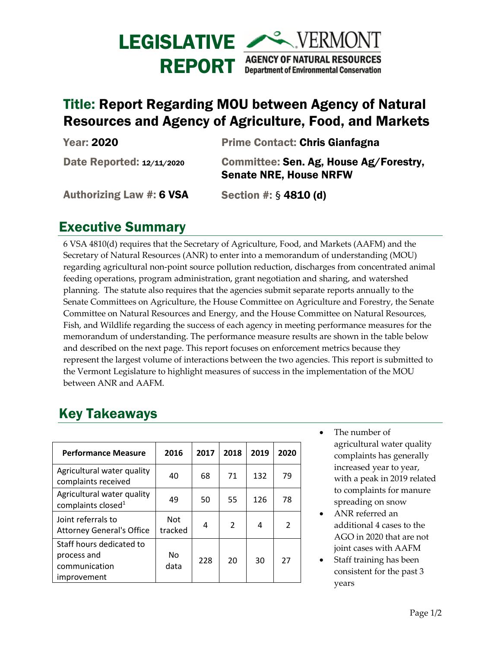

## Title: Report Regarding MOU between Agency of Natural Resources and Agency of Agriculture, Food, and Markets

| <b>Year: 2020</b>               | <b>Prime Contact: Chris Gianfagna</b>                                   |
|---------------------------------|-------------------------------------------------------------------------|
| Date Reported: 12/11/2020       | Committee: Sen. Ag, House Ag/Forestry,<br><b>Senate NRE, House NRFW</b> |
| <b>Authorizing Law #: 6 VSA</b> | Section #: $§$ 4810 (d)                                                 |

## Executive Summary

6 VSA 4810(d) requires that the Secretary of Agriculture, Food, and Markets (AAFM) and the Secretary of Natural Resources (ANR) to enter into a memorandum of understanding (MOU) regarding agricultural non-point source pollution reduction, discharges from concentrated animal feeding operations, program administration, grant negotiation and sharing, and watershed planning. The statute also requires that the agencies submit separate reports annually to the Senate Committees on Agriculture, the House Committee on Agriculture and Forestry, the Senate Committee on Natural Resources and Energy, and the House Committee on Natural Resources, Fish, and Wildlife regarding the success of each agency in meeting performance measures for the memorandum of understanding. The performance measure results are shown in the table below and described on the next page. This report focuses on enforcement metrics because they represent the largest volume of interactions between the two agencies. This report is submitted to the Vermont Legislature to highlight measures of success in the implementation of the MOU between ANR and AAFM.

## Key Takeaways

| <b>Performance Measure</b>                                              | 2016                  | 2017 | 2018           | 2019 | 2020           |
|-------------------------------------------------------------------------|-----------------------|------|----------------|------|----------------|
| Agricultural water quality<br>complaints received                       | 40                    | 68   | 71             | 132  | 79             |
| Agricultural water quality<br>complaints closed <sup>1</sup>            | 49                    | 50   | 55             | 126  | 78             |
| Joint referrals to<br><b>Attorney General's Office</b>                  | <b>Not</b><br>tracked | 4    | $\mathfrak{D}$ | 4    | $\mathfrak{p}$ |
| Staff hours dedicated to<br>process and<br>communication<br>improvement | No<br>data            | 228  | 20             | 30   | 27             |

- The number of agricultural water quality complaints has generally increased year to year, with a peak in 2019 related to complaints for manure spreading on snow
- ANR referred an additional 4 cases to the AGO in 2020 that are not joint cases with AAFM
- Staff training has been consistent for the past 3 years